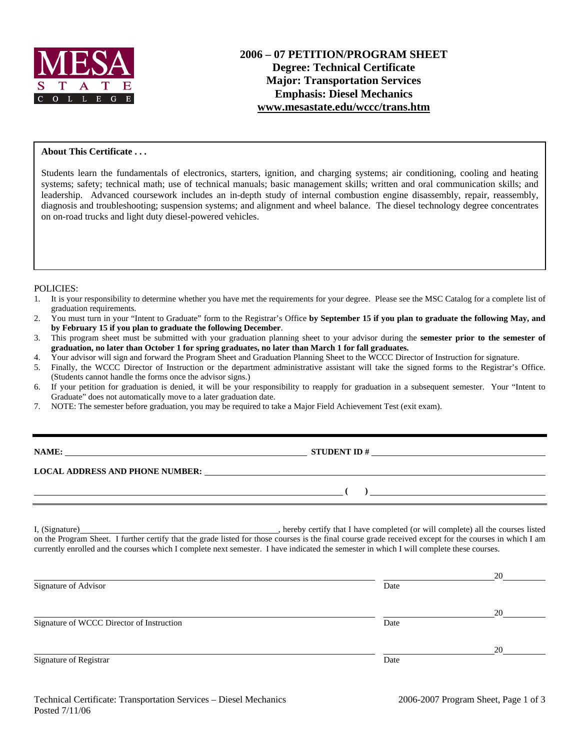

### **About This Certificate . . .**

Students learn the fundamentals of electronics, starters, ignition, and charging systems; air conditioning, cooling and heating systems; safety; technical math; use of technical manuals; basic management skills; written and oral communication skills; and leadership. Advanced coursework includes an in-depth study of internal combustion engine disassembly, repair, reassembly, diagnosis and troubleshooting; suspension systems; and alignment and wheel balance. The diesel technology degree concentrates on on-road trucks and light duty diesel-powered vehicles.

#### POLICIES:

- 1. It is your responsibility to determine whether you have met the requirements for your degree. Please see the MSC Catalog for a complete list of graduation requirements.
- 2. You must turn in your "Intent to Graduate" form to the Registrar's Office **by September 15 if you plan to graduate the following May, and by February 15 if you plan to graduate the following December**.
- 3. This program sheet must be submitted with your graduation planning sheet to your advisor during the **semester prior to the semester of graduation, no later than October 1 for spring graduates, no later than March 1 for fall graduates.**
- 4. Your advisor will sign and forward the Program Sheet and Graduation Planning Sheet to the WCCC Director of Instruction for signature.
- 5. Finally, the WCCC Director of Instruction or the department administrative assistant will take the signed forms to the Registrar's Office. (Students cannot handle the forms once the advisor signs.)
- 6. If your petition for graduation is denied, it will be your responsibility to reapply for graduation in a subsequent semester. Your "Intent to Graduate" does not automatically move to a later graduation date.
- 7. NOTE: The semester before graduation, you may be required to take a Major Field Achievement Test (exit exam).

| NAME: |  |
|-------|--|
|       |  |

**NAME:** STUDENT ID #

 $($   $)$   $)$ 

**LOCAL ADDRESS AND PHONE NUMBER:**

I, (Signature) , hereby certify that I have completed (or will complete) all the courses listed on the Program Sheet. I further certify that the grade listed for those courses is the final course grade received except for the courses in which I am currently enrolled and the courses which I complete next semester. I have indicated the semester in which I will complete these courses.

|                                           |      | 20 |
|-------------------------------------------|------|----|
| Signature of Advisor                      | Date |    |
|                                           |      | 20 |
| Signature of WCCC Director of Instruction | Date |    |
|                                           |      | 20 |
| Signature of Registrar                    | Date |    |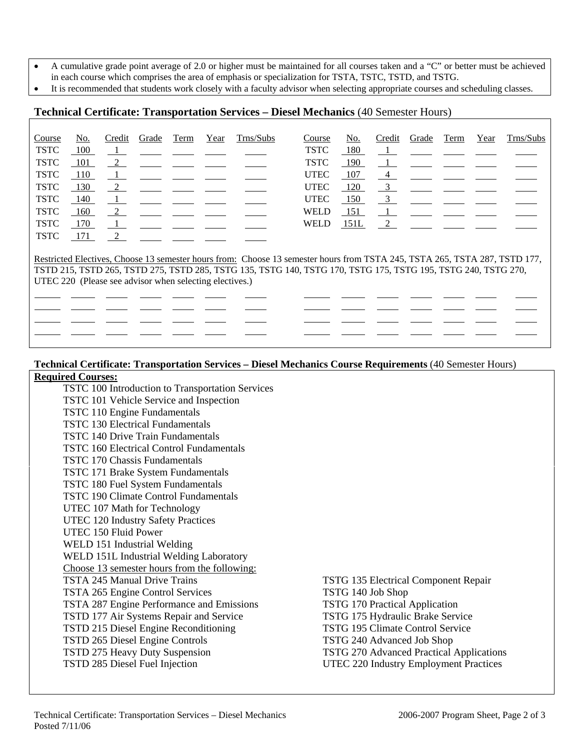- A cumulative grade point average of 2.0 or higher must be maintained for all courses taken and a "C" or better must be achieved
- in each course which comprises the area of emphasis or specialization for TSTA, TSTC, TSTD, and TSTG.
- It is recommended that students work closely with a faculty advisor when selecting appropriate courses and scheduling classes.

## **Technical Certificate: Transportation Services – Diesel Mechanics** (40 Semester Hours)

| Course                                                                                                        | No. | Credit         | Grade | Term | Year | Trns/Subs                                                                                                                  | Course      | No.  | Credit                  | Grade | Term | Year | Trns/Subs |
|---------------------------------------------------------------------------------------------------------------|-----|----------------|-------|------|------|----------------------------------------------------------------------------------------------------------------------------|-------------|------|-------------------------|-------|------|------|-----------|
| <b>TSTC</b>                                                                                                   | 100 | $\mathbf{1}$   |       |      |      |                                                                                                                            | TSTC        | 180  |                         |       |      |      |           |
| <b>TSTC</b>                                                                                                   | 101 | $\frac{2}{2}$  |       |      |      |                                                                                                                            | <b>TSTC</b> | 190  | - 1                     |       |      |      |           |
| <b>TSTC</b>                                                                                                   | 110 | $\perp$        |       |      |      |                                                                                                                            | <b>UTEC</b> | 107  | 4                       |       |      |      |           |
| <b>TSTC</b>                                                                                                   | 130 | 2              |       |      |      |                                                                                                                            | <b>UTEC</b> | 120  | $\overline{3}$          |       |      |      |           |
| <b>TSTC</b>                                                                                                   | 140 | - 1            |       |      |      |                                                                                                                            | <b>UTEC</b> | 150  | $\overline{\mathbf{3}}$ |       |      |      |           |
| <b>TSTC</b>                                                                                                   | 160 | $\frac{2}{2}$  |       |      |      |                                                                                                                            | <b>WELD</b> | 151  |                         |       |      |      |           |
| <b>TSTC</b>                                                                                                   | 170 | $\overline{1}$ |       |      |      |                                                                                                                            | <b>WELD</b> | 151L | 2                       |       |      |      |           |
| <b>TSTC</b>                                                                                                   | 171 | $\frac{2}{2}$  |       |      |      |                                                                                                                            |             |      |                         |       |      |      |           |
|                                                                                                               |     |                |       |      |      |                                                                                                                            |             |      |                         |       |      |      |           |
|                                                                                                               |     |                |       |      |      | Restricted Electives, Choose 13 semester hours from: Choose 13 semester hours from TSTA 245, TSTA 265, TSTA 287, TSTD 177, |             |      |                         |       |      |      |           |
| TSTD 215, TSTD 265, TSTD 275, TSTD 285, TSTG 135, TSTG 140, TSTG 170, TSTG 175, TSTG 195, TSTG 240, TSTG 270, |     |                |       |      |      |                                                                                                                            |             |      |                         |       |      |      |           |
| UTEC 220 (Please see advisor when selecting electives.)                                                       |     |                |       |      |      |                                                                                                                            |             |      |                         |       |      |      |           |
|                                                                                                               |     |                |       |      |      |                                                                                                                            |             |      |                         |       |      |      |           |
|                                                                                                               |     |                |       |      |      |                                                                                                                            |             |      |                         |       |      |      |           |
|                                                                                                               |     |                |       |      |      |                                                                                                                            |             |      |                         |       |      |      |           |
|                                                                                                               |     |                |       |      |      |                                                                                                                            |             |      |                         |       |      |      |           |

### **Technical Certificate: Transportation Services – Diesel Mechanics Course Requirements** (40 Semester Hours)

### **Required Courses:** TSTC 100 Introduction to Transportation Services TSTC 101 Vehicle Service and Inspection TSTC 110 Engine Fundamentals TSTC 130 Electrical Fundamentals TSTC 140 Drive Train Fundamentals TSTC 160 Electrical Control Fundamentals TSTC 170 Chassis Fundamentals TSTC 171 Brake System Fundamentals TSTC 180 Fuel System Fundamentals TSTC 190 Climate Control Fundamentals UTEC 107 Math for Technology UTEC 120 Industry Safety Practices UTEC 150 Fluid Power WELD 151 Industrial Welding WELD 151L Industrial Welding Laboratory Choose 13 semester hours from the following: TSTA 245 Manual Drive Trains TSTG 135 Electrical Component Repair TSTA 265 Engine Control Services TSTG 140 Job Shop TSTA 287 Engine Performance and Emissions TSTG 170 Practical Application TSTD 177 Air Systems Repair and Service TSTG 175 Hydraulic Brake Service TSTD 215 Diesel Engine Reconditioning TSTG 195 Climate Control Service TSTD 265 Diesel Engine Controls TSTG 240 Advanced Job Shop TSTD 275 Heavy Duty Suspension TSTG 270 Advanced Practical Applications TSTD 285 Diesel Fuel Injection UTEC 220 Industry Employment Practices